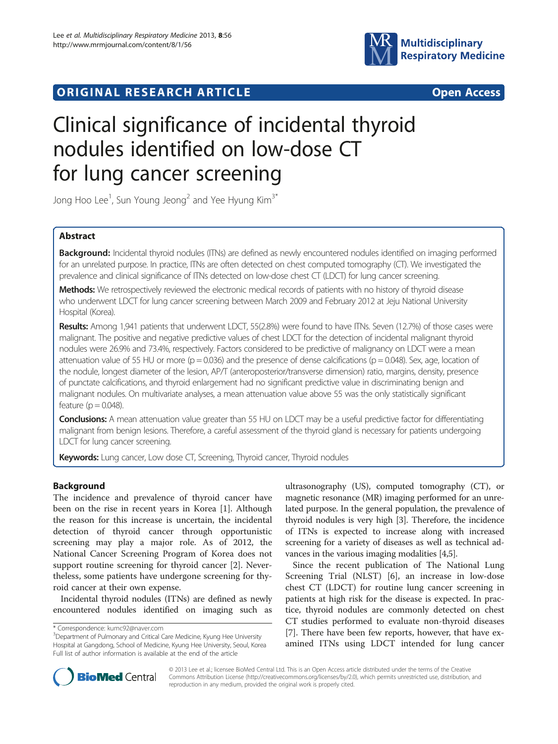# **ORIGINAL RESEARCH ARTICLE CONFIDENTIAL CONTRACT OPEN ACCESS**



# Clinical significance of incidental thyroid nodules identified on low-dose CT for lung cancer screening

Jong Hoo Lee<sup>1</sup>, Sun Young Jeong<sup>2</sup> and Yee Hyung Kim $^{3^*}$ 

# Abstract

Background: Incidental thyroid nodules (ITNs) are defined as newly encountered nodules identified on imaging performed for an unrelated purpose. In practice, ITNs are often detected on chest computed tomography (CT). We investigated the prevalence and clinical significance of ITNs detected on low-dose chest CT (LDCT) for lung cancer screening.

Methods: We retrospectively reviewed the electronic medical records of patients with no history of thyroid disease who underwent LDCT for lung cancer screening between March 2009 and February 2012 at Jeju National University Hospital (Korea).

Results: Among 1,941 patients that underwent LDCT, 55(2.8%) were found to have ITNs. Seven (12.7%) of those cases were malignant. The positive and negative predictive values of chest LDCT for the detection of incidental malignant thyroid nodules were 26.9% and 73.4%, respectively. Factors considered to be predictive of malignancy on LDCT were a mean attenuation value of 55 HU or more ( $p = 0.036$ ) and the presence of dense calcifications ( $p = 0.048$ ). Sex, age, location of the nodule, longest diameter of the lesion, AP/T (anteroposterior/transverse dimension) ratio, margins, density, presence of punctate calcifications, and thyroid enlargement had no significant predictive value in discriminating benign and malignant nodules. On multivariate analyses, a mean attenuation value above 55 was the only statistically significant feature ( $p = 0.048$ ).

**Conclusions:** A mean attenuation value greater than 55 HU on LDCT may be a useful predictive factor for differentiating malignant from benign lesions. Therefore, a careful assessment of the thyroid gland is necessary for patients undergoing LDCT for lung cancer screening.

Keywords: Lung cancer, Low dose CT, Screening, Thyroid cancer, Thyroid nodules

# Background

The incidence and prevalence of thyroid cancer have been on the rise in recent years in Korea [[1\]](#page-6-0). Although the reason for this increase is uncertain, the incidental detection of thyroid cancer through opportunistic screening may play a major role. As of 2012, the National Cancer Screening Program of Korea does not support routine screening for thyroid cancer [[2\]](#page-6-0). Nevertheless, some patients have undergone screening for thyroid cancer at their own expense.

Incidental thyroid nodules (ITNs) are defined as newly encountered nodules identified on imaging such as

ultrasonography (US), computed tomography (CT), or magnetic resonance (MR) imaging performed for an unrelated purpose. In the general population, the prevalence of thyroid nodules is very high [[3\]](#page-6-0). Therefore, the incidence of ITNs is expected to increase along with increased screening for a variety of diseases as well as technical advances in the various imaging modalities [[4,5](#page-6-0)].

Since the recent publication of The National Lung Screening Trial (NLST) [[6\]](#page-6-0), an increase in low-dose chest CT (LDCT) for routine lung cancer screening in patients at high risk for the disease is expected. In practice, thyroid nodules are commonly detected on chest CT studies performed to evaluate non-thyroid diseases [[7\]](#page-6-0). There have been few reports, however, that have examined ITNs using LDCT intended for lung cancer



© 2013 Lee et al.; licensee BioMed Central Ltd. This is an Open Access article distributed under the terms of the Creative Commons Attribution License [\(http://creativecommons.org/licenses/by/2.0\)](http://creativecommons.org/licenses/by/2.0), which permits unrestricted use, distribution, and reproduction in any medium, provided the original work is properly cited.

<sup>\*</sup> Correspondence: [kumc92@naver.com](mailto:kumc92@naver.com) <sup>3</sup>

<sup>&</sup>lt;sup>3</sup>Department of Pulmonary and Critical Care Medicine, Kyung Hee University Hospital at Gangdong, School of Medicine, Kyung Hee University, Seoul, Korea Full list of author information is available at the end of the article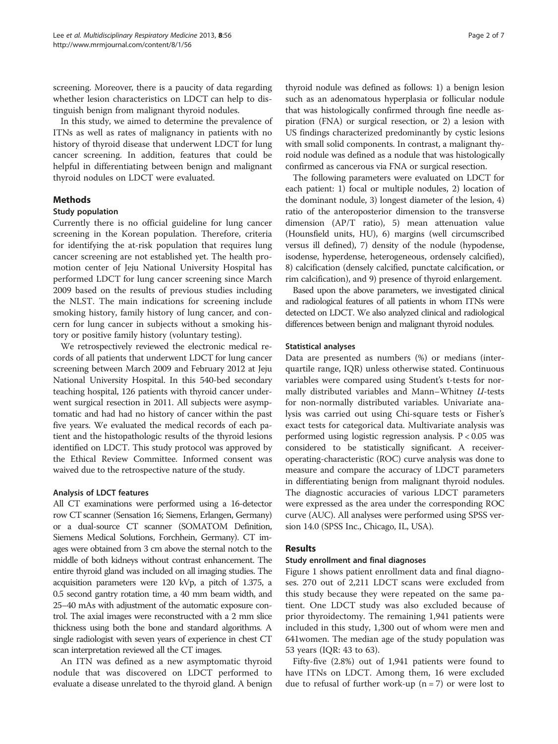screening. Moreover, there is a paucity of data regarding whether lesion characteristics on LDCT can help to distinguish benign from malignant thyroid nodules.

In this study, we aimed to determine the prevalence of ITNs as well as rates of malignancy in patients with no history of thyroid disease that underwent LDCT for lung cancer screening. In addition, features that could be helpful in differentiating between benign and malignant thyroid nodules on LDCT were evaluated.

# Methods

#### Study population

Currently there is no official guideline for lung cancer screening in the Korean population. Therefore, criteria for identifying the at-risk population that requires lung cancer screening are not established yet. The health promotion center of Jeju National University Hospital has performed LDCT for lung cancer screening since March 2009 based on the results of previous studies including the NLST. The main indications for screening include smoking history, family history of lung cancer, and concern for lung cancer in subjects without a smoking history or positive family history (voluntary testing).

We retrospectively reviewed the electronic medical records of all patients that underwent LDCT for lung cancer screening between March 2009 and February 2012 at Jeju National University Hospital. In this 540-bed secondary teaching hospital, 126 patients with thyroid cancer underwent surgical resection in 2011. All subjects were asymptomatic and had had no history of cancer within the past five years. We evaluated the medical records of each patient and the histopathologic results of the thyroid lesions identified on LDCT. This study protocol was approved by the Ethical Review Committee. Informed consent was waived due to the retrospective nature of the study.

#### Analysis of LDCT features

All CT examinations were performed using a 16-detector row CT scanner (Sensation 16; Siemens, Erlangen, Germany) or a dual-source CT scanner (SOMATOM Definition, Siemens Medical Solutions, Forchhein, Germany). CT images were obtained from 3 cm above the sternal notch to the middle of both kidneys without contrast enhancement. The entire thyroid gland was included on all imaging studies. The acquisition parameters were 120 kVp, a pitch of 1.375, a 0.5 second gantry rotation time, a 40 mm beam width, and 25–40 mAs with adjustment of the automatic exposure control. The axial images were reconstructed with a 2 mm slice thickness using both the bone and standard algorithms. A single radiologist with seven years of experience in chest CT scan interpretation reviewed all the CT images.

An ITN was defined as a new asymptomatic thyroid nodule that was discovered on LDCT performed to evaluate a disease unrelated to the thyroid gland. A benign thyroid nodule was defined as follows: 1) a benign lesion such as an adenomatous hyperplasia or follicular nodule that was histologically confirmed through fine needle aspiration (FNA) or surgical resection, or 2) a lesion with US findings characterized predominantly by cystic lesions with small solid components. In contrast, a malignant thyroid nodule was defined as a nodule that was histologically confirmed as cancerous via FNA or surgical resection.

The following parameters were evaluated on LDCT for each patient: 1) focal or multiple nodules, 2) location of the dominant nodule, 3) longest diameter of the lesion, 4) ratio of the anteroposterior dimension to the transverse dimension (AP/T ratio), 5) mean attenuation value (Hounsfield units, HU), 6) margins (well circumscribed versus ill defined), 7) density of the nodule (hypodense, isodense, hyperdense, heterogeneous, ordensely calcified), 8) calcification (densely calcified, punctate calcification, or rim calcification), and 9) presence of thyroid enlargement.

Based upon the above parameters, we investigated clinical and radiological features of all patients in whom ITNs were detected on LDCT. We also analyzed clinical and radiological differences between benign and malignant thyroid nodules.

#### Statistical analyses

Data are presented as numbers (%) or medians (interquartile range, IQR) unless otherwise stated. Continuous variables were compared using Student's t-tests for normally distributed variables and Mann–Whitney U-tests for non-normally distributed variables. Univariate analysis was carried out using Chi-square tests or Fisher's exact tests for categorical data. Multivariate analysis was performed using logistic regression analysis. P < 0.05 was considered to be statistically significant. A receiveroperating-characteristic (ROC) curve analysis was done to measure and compare the accuracy of LDCT parameters in differentiating benign from malignant thyroid nodules. The diagnostic accuracies of various LDCT parameters were expressed as the area under the corresponding ROC curve (AUC). All analyses were performed using SPSS version 14.0 (SPSS Inc., Chicago, IL, USA).

#### Results

#### Study enrollment and final diagnoses

Figure [1](#page-2-0) shows patient enrollment data and final diagnoses. 270 out of 2,211 LDCT scans were excluded from this study because they were repeated on the same patient. One LDCT study was also excluded because of prior thyroidectomy. The remaining 1,941 patients were included in this study, 1,300 out of whom were men and 641women. The median age of the study population was 53 years (IQR: 43 to 63).

Fifty-five (2.8%) out of 1,941 patients were found to have ITNs on LDCT. Among them, 16 were excluded due to refusal of further work-up  $(n = 7)$  or were lost to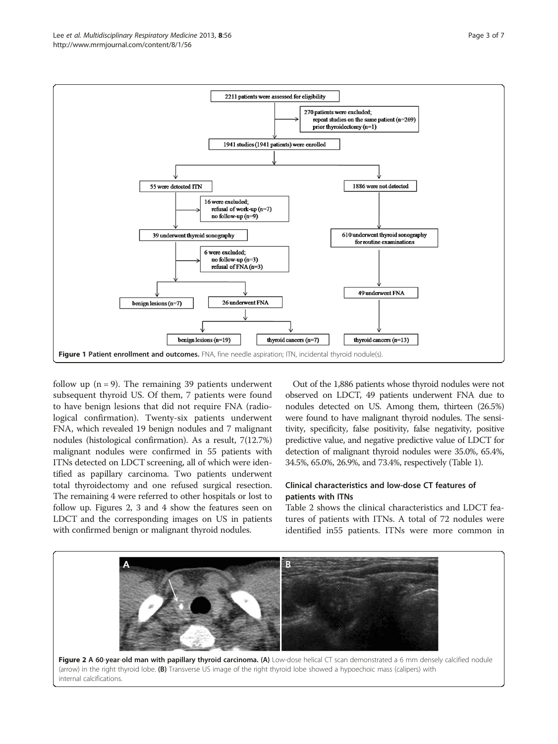<span id="page-2-0"></span>

follow up  $(n = 9)$ . The remaining 39 patients underwent subsequent thyroid US. Of them, 7 patients were found to have benign lesions that did not require FNA (radiological confirmation). Twenty-six patients underwent FNA, which revealed 19 benign nodules and 7 malignant nodules (histological confirmation). As a result, 7(12.7%) malignant nodules were confirmed in 55 patients with ITNs detected on LDCT screening, all of which were identified as papillary carcinoma. Two patients underwent total thyroidectomy and one refused surgical resection. The remaining 4 were referred to other hospitals or lost to follow up. Figures 2, [3](#page-3-0) and [4](#page-3-0) show the features seen on LDCT and the corresponding images on US in patients with confirmed benign or malignant thyroid nodules.

Out of the 1,886 patients whose thyroid nodules were not observed on LDCT, 49 patients underwent FNA due to nodules detected on US. Among them, thirteen (26.5%) were found to have malignant thyroid nodules. The sensitivity, specificity, false positivity, false negativity, positive predictive value, and negative predictive value of LDCT for detection of malignant thyroid nodules were 35.0%, 65.4%, 34.5%, 65.0%, 26.9%, and 73.4%, respectively (Table [1\)](#page-4-0).

# Clinical characteristics and low-dose CT features of patients with ITNs

Table [2](#page-4-0) shows the clinical characteristics and LDCT features of patients with ITNs. A total of 72 nodules were identified in55 patients. ITNs were more common in

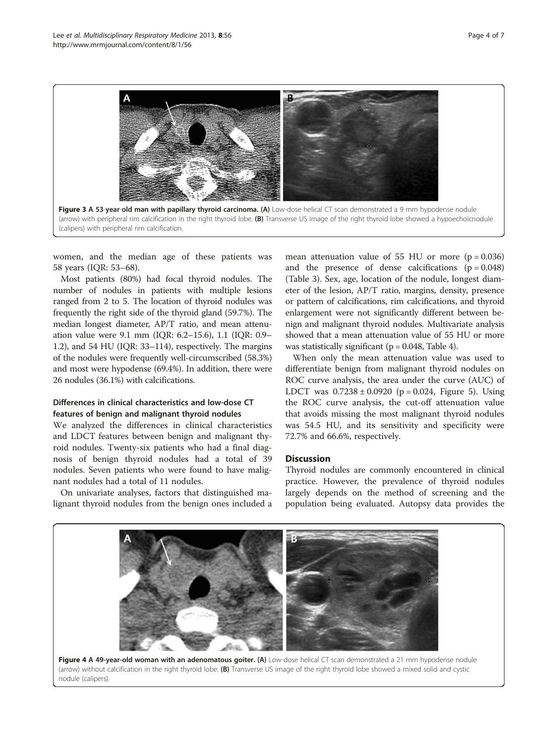<span id="page-3-0"></span>

women, and the median age of these patients was 58 years (IQR: 53–68).

Most patients (80%) had focal thyroid nodules. The number of nodules in patients with multiple lesions ranged from 2 to 5. The location of thyroid nodules was frequently the right side of the thyroid gland (59.7%). The median longest diameter, AP/T ratio, and mean attenuation value were 9.1 mm (IQR: 6.2–15.6), 1.1 (IQR: 0.9– 1.2), and 54 HU (IQR: 33–114), respectively. The margins of the nodules were frequently well-circumscribed (58.3%) and most were hypodense (69.4%). In addition, there were 26 nodules (36.1%) with calcifications.

# Differences in clinical characteristics and low-dose CT features of benign and malignant thyroid nodules

We analyzed the differences in clinical characteristics and LDCT features between benign and malignant thyroid nodules. Twenty-six patients who had a final diagnosis of benign thyroid nodules had a total of 39 nodules. Seven patients who were found to have malignant nodules had a total of 11 nodules.

On univariate analyses, factors that distinguished malignant thyroid nodules from the benign ones included a mean attenuation value of 55 HU or more  $(p = 0.036)$ and the presence of dense calcifications  $(p = 0.048)$ (Table [3](#page-4-0)). Sex, age, location of the nodule, longest diameter of the lesion, AP/T ratio, margins, density, presence or pattern of calcifications, rim calcifications, and thyroid enlargement were not significantly different between benign and malignant thyroid nodules. Multivariate analysis showed that a mean attenuation value of 55 HU or more was statistically significant ( $p = 0.048$ , Table [4\)](#page-4-0).

When only the mean attenuation value was used to differentiate benign from malignant thyroid nodules on ROC curve analysis, the area under the curve (AUC) of LDCT was  $0.7238 \pm 0.0920$  (p = 0.024, Figure [5](#page-5-0)). Using the ROC curve analysis, the cut-off attenuation value that avoids missing the most malignant thyroid nodules was 54.5 HU, and its sensitivity and specificity were 72.7% and 66.6%, respectively.

#### **Discussion**

Thyroid nodules are commonly encountered in clinical practice. However, the prevalence of thyroid nodules largely depends on the method of screening and the population being evaluated. Autopsy data provides the

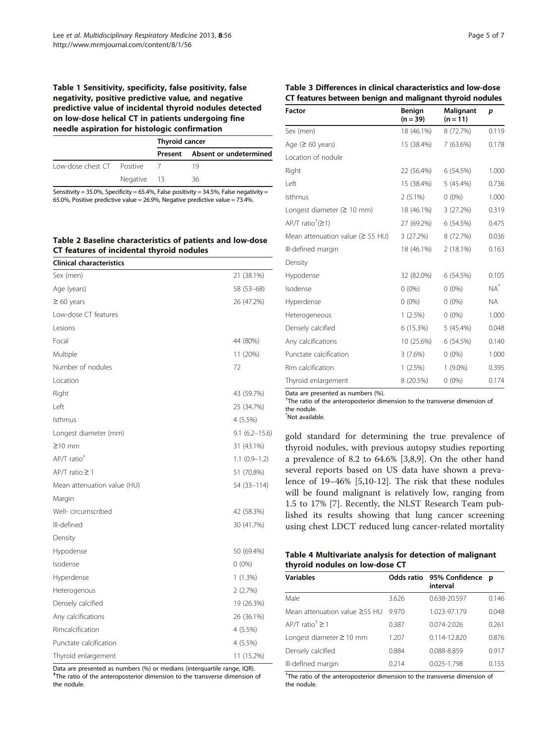### <span id="page-4-0"></span>Table 1 Sensitivity, specificity, false positivity, false negativity, positive predictive value, and negative predictive value of incidental thyroid nodules detected on low-dose helical CT in patients undergoing fine needle aspiration for histologic confirmation

|                            |             | <b>Thyroid cancer</b> |                                |  |
|----------------------------|-------------|-----------------------|--------------------------------|--|
|                            |             |                       | Present Absent or undetermined |  |
| Low-dose chest CT Positive |             |                       | 19                             |  |
|                            | Negative 13 |                       | 36                             |  |
|                            |             |                       |                                |  |

Sensitivity =  $35.0\%$ , Specificity =  $65.4\%$ , False positivity =  $34.5\%$ , False negativity = 65.0%, Positive predictive value = 26.9%, Negative predictive value = 73.4%.

# Table 2 Baseline characteristics of patients and low-dose CT features of incidental thyroid nodules

| <b>Clinical characteristics</b> |                   |
|---------------------------------|-------------------|
| Sex (men)                       | 21 (38.1%)        |
| Age (years)                     | 58 (53 - 68)      |
| $\geq 60$ years                 | 26 (47.2%)        |
| Low-dose CT features            |                   |
| Lesions                         |                   |
| Focal                           | 44 (80%)          |
| Multiple                        | 11 (20%)          |
| Number of nodules               | 72                |
| Location                        |                   |
| Right                           | 43 (59.7%)        |
| l eft                           | 25 (34.7%)        |
| Isthmus                         | 4 (5.5%)          |
| Longest diameter (mm)           | $9.1(6.2 - 15.6)$ |
| $\geq$ 10 mm                    | 31 (43.1%)        |
| AP/T ratio <sup>+</sup>         | $1.1(0.9-1.2)$    |
| $AP/T$ ratio $\geq 1$           | 51 (70.8%)        |
| Mean attenuation value (HU)     | 54 (33-114)       |
| Margin                          |                   |
| Well- circumscribed             | 42 (58.3%)        |
| Ill-defined                     | 30 (41.7%)        |
| Density                         |                   |
| Hypodense                       | 50 (69.4%)        |
| Isodense                        | $0(0\%)$          |
| Hyperdense                      | 1 (1.3%)          |
| Heterogenous                    | 2(2.7%)           |
| Densely calcified               | 19 (26.3%)        |
| Any calcifications              | 26 (36.1%)        |
| Rimcalcification                | 4 (5.5%)          |
| Punctate calcification          | 4 (5.5%)          |
| Thyroid enlargement             | 11 (15.2%)        |

Data are presented as numbers (%) or medians (interquartile range, IQR). <sup>†</sup>The ratio of the anteroposterior dimension to the transverse dimension of the nodule.

|  | ר Pade |  | ΩŤ |  |
|--|--------|--|----|--|
|--|--------|--|----|--|

# Table 3 Differences in clinical characteristics and low-dose CT features between benign and malignant thyroid nodules

| <b>Factor</b>                          | Benign<br>$(n = 39)$ | Malignant<br>$(n = 11)$ | p         |
|----------------------------------------|----------------------|-------------------------|-----------|
| Sex (men)                              | 18 (46.1%)           | 8 (72.7%)               | 0.119     |
| Age $(≥ 60 years)$                     | 15 (38.4%)           | 7 (63.6%)               | 0.178     |
| Location of nodule                     |                      |                         |           |
| Right                                  | 22 (56.4%)           | 6(54.5%)                | 1.000     |
| Left                                   | 15 (38.4%)           | $5(45.4\%)$             | 0.736     |
| Isthmus                                | $2(5.1\%)$           | $0(0\%)$                | 1.000     |
| Longest diameter ( $\geq 10$ mm)       | 18 (46.1%)           | 3(27.2%)                | 0.319     |
| $AP/T$ ratio <sup>†</sup> (21)         | 27 (69.2%)           | 6(54.5%)                | 0.475     |
| Mean attenuation value ( $\geq$ 55 HU) | 3 (27.2%)            | 8 (72.7%)               | 0.036     |
| Ill-defined margin                     | 18 (46.1%)           | $2(18.1\%)$             | 0.163     |
| Density                                |                      |                         |           |
| Hypodense                              | 32 (82.0%)           | 6(54.5%)                | 0.105     |
| Isodense                               | $0(0\%)$             | $0(0\%)$                | $NA^*$    |
| Hyperdense                             | $0(0\%)$             | $0(0\%)$                | <b>NA</b> |
| Heterogeneous                          | 1(2.5%)              | $0(0\%)$                | 1.000     |
| Densely calcified                      | 6 (15.3%)            | $5(45.4\%)$             | 0.048     |
| Any calcifications                     | 10 (25.6%)           | 6 (54.5%)               | 0.140     |
| Punctate calcification                 | 3(7.6%)              | $0(0\%)$                | 1.000     |
| Rim calcification                      | $1(2.5\%)$           | $1(9.0\%)$              | 0.395     |
| Thyroid enlargement                    | 8 (20.5%)            | $0(0\%)$                | 0.174     |

Data are presented as numbers (%).

<sup>†</sup>The ratio of the anteroposterior dimension to the transverse dimension of the nodule. \* Not available.

gold standard for determining the true prevalence of thyroid nodules, with previous autopsy studies reporting a prevalence of 8.2 to 64.6% [[3,8,9\]](#page-6-0). On the other hand several reports based on US data have shown a prevalence of 19–46% [\[5,10-12](#page-6-0)]. The risk that these nodules will be found malignant is relatively low, ranging from 1.5 to 17% [[7\]](#page-6-0). Recently, the NLST Research Team published its results showing that lung cancer screening using chest LDCT reduced lung cancer-related mortality

| Table 4 Multivariate analysis for detection of malignant |  |  |
|----------------------------------------------------------|--|--|
| thyroid nodules on low-dose CT                           |  |  |

| <b>Variables</b>                    |       | Odds ratio 95% Confidence<br>interval | D     |
|-------------------------------------|-------|---------------------------------------|-------|
| Male                                | 3.626 | 0.638-20.597                          | 0.146 |
| Mean attenuation value $\geq$ 55 HU | 9970  | 1.023-97.179                          | 0.048 |
| $AP/T$ ratio <sup>†</sup> $\geq 1$  | 0.387 | $0.074 - 2.026$                       | 0.261 |
| Longest diameter ≥ 10 mm            | 1.207 | $0.114 - 12.820$                      | 0.876 |
| Densely calcified                   | 0.884 | 0.088-8.859                           | 0.917 |
| Ill-defined margin                  | 0.214 | 0.025-1.798                           | 0.155 |

<sup>†</sup>The ratio of the anteroposterior dimension to the transverse dimension of the nodule.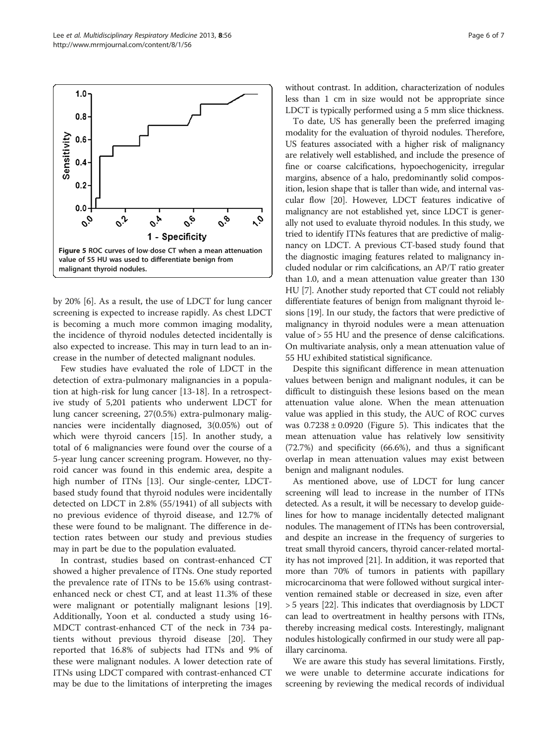<span id="page-5-0"></span>

by 20% [\[6](#page-6-0)]. As a result, the use of LDCT for lung cancer screening is expected to increase rapidly. As chest LDCT is becoming a much more common imaging modality, the incidence of thyroid nodules detected incidentally is also expected to increase. This may in turn lead to an increase in the number of detected malignant nodules.

Few studies have evaluated the role of LDCT in the detection of extra-pulmonary malignancies in a population at high-risk for lung cancer [\[13-18](#page-6-0)]. In a retrospective study of 5,201 patients who underwent LDCT for lung cancer screening, 27(0.5%) extra-pulmonary malignancies were incidentally diagnosed, 3(0.05%) out of which were thyroid cancers [\[15\]](#page-6-0). In another study, a total of 6 malignancies were found over the course of a 5-year lung cancer screening program. However, no thyroid cancer was found in this endemic area, despite a high number of ITNs [[13\]](#page-6-0). Our single-center, LDCTbased study found that thyroid nodules were incidentally detected on LDCT in 2.8% (55/1941) of all subjects with no previous evidence of thyroid disease, and 12.7% of these were found to be malignant. The difference in detection rates between our study and previous studies may in part be due to the population evaluated.

In contrast, studies based on contrast-enhanced CT showed a higher prevalence of ITNs. One study reported the prevalence rate of ITNs to be 15.6% using contrastenhanced neck or chest CT, and at least 11.3% of these were malignant or potentially malignant lesions [\[19](#page-6-0)]. Additionally, Yoon et al. conducted a study using 16- MDCT contrast-enhanced CT of the neck in 734 patients without previous thyroid disease [[20\]](#page-6-0). They reported that 16.8% of subjects had ITNs and 9% of these were malignant nodules. A lower detection rate of ITNs using LDCT compared with contrast-enhanced CT may be due to the limitations of interpreting the images without contrast. In addition, characterization of nodules less than 1 cm in size would not be appropriate since LDCT is typically performed using a 5 mm slice thickness.

To date, US has generally been the preferred imaging modality for the evaluation of thyroid nodules. Therefore, US features associated with a higher risk of malignancy are relatively well established, and include the presence of fine or coarse calcifications, hypoechogenicity, irregular margins, absence of a halo, predominantly solid composition, lesion shape that is taller than wide, and internal vascular flow [\[20](#page-6-0)]. However, LDCT features indicative of malignancy are not established yet, since LDCT is generally not used to evaluate thyroid nodules. In this study, we tried to identify ITNs features that are predictive of malignancy on LDCT. A previous CT-based study found that the diagnostic imaging features related to malignancy included nodular or rim calcifications, an AP/T ratio greater than 1.0, and a mean attenuation value greater than 130 HU [\[7\]](#page-6-0). Another study reported that CT could not reliably differentiate features of benign from malignant thyroid lesions [[19](#page-6-0)]. In our study, the factors that were predictive of malignancy in thyroid nodules were a mean attenuation value of > 55 HU and the presence of dense calcifications. On multivariate analysis, only a mean attenuation value of 55 HU exhibited statistical significance.

Despite this significant difference in mean attenuation values between benign and malignant nodules, it can be difficult to distinguish these lesions based on the mean attenuation value alone. When the mean attenuation value was applied in this study, the AUC of ROC curves was  $0.7238 \pm 0.0920$  (Figure 5). This indicates that the mean attenuation value has relatively low sensitivity (72.7%) and specificity (66.6%), and thus a significant overlap in mean attenuation values may exist between benign and malignant nodules.

As mentioned above, use of LDCT for lung cancer screening will lead to increase in the number of ITNs detected. As a result, it will be necessary to develop guidelines for how to manage incidentally detected malignant nodules. The management of ITNs has been controversial, and despite an increase in the frequency of surgeries to treat small thyroid cancers, thyroid cancer-related mortality has not improved [[21](#page-6-0)]. In addition, it was reported that more than 70% of tumors in patients with papillary microcarcinoma that were followed without surgical intervention remained stable or decreased in size, even after > 5 years [[22](#page-6-0)]. This indicates that overdiagnosis by LDCT can lead to overtreatment in healthy persons with ITNs, thereby increasing medical costs. Interestingly, malignant nodules histologically confirmed in our study were all papillary carcinoma.

We are aware this study has several limitations. Firstly, we were unable to determine accurate indications for screening by reviewing the medical records of individual